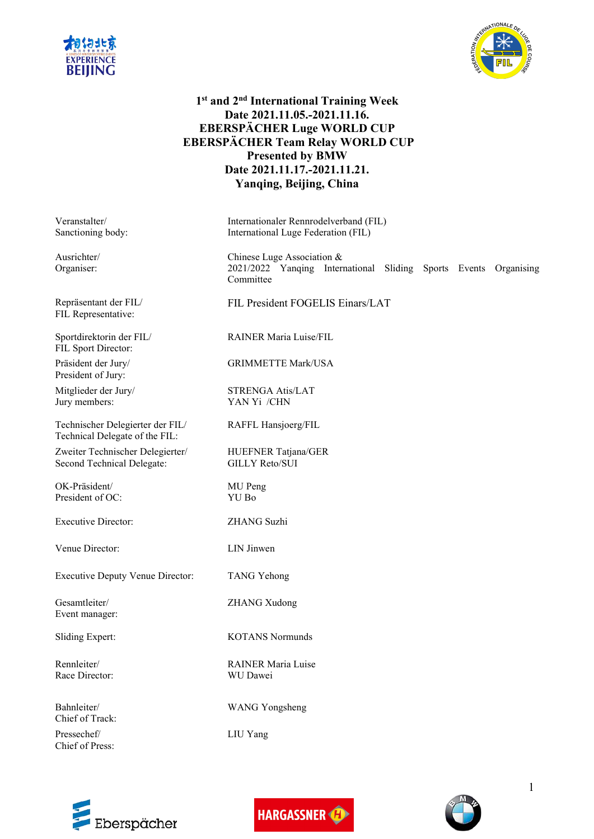



# **1 st and 2 nd International Training Week Date 2021.11.05.-2021.11.16. EBERSPÄCHER Luge WORLD CUP EBERSPÄCHER Team Relay WORLD CUP Presented by BMW Date 2021.11.17.-2021.11.21. Yanqing, Beijing, China**

Veranstalter/ Sanctioning body:

Ausrichter/ Organiser:

Repräsentant der FIL/ FIL Representative:

Sportdirektorin der FIL/ FIL Sport Director:

Präsident der Jury/ President of Jury:

Mitglieder der Jury/ Jury members:

Technischer Delegierter der FIL/ Technical Delegate of the FIL:

Zweiter Technischer Delegierter/ Second Technical Delegate:

OK-Präsident/ President of OC:

Executive Director: ZHANG Suzhi

Venue Director: LIN Jinwen

Executive Deputy Venue Director: TANG Yehong

Gesamtleiter/ Event manager:

Rennleiter/ Race Director:

Bahnleiter/ Chief of Track: Pressechef/

Chief of Press:

Internationaler Rennrodelverband (FIL) International Luge Federation (FIL)

Chinese Luge Association & 2021/2022 Yanqing International Sliding Sports Events Organising Committee

FIL President FOGELIS Einars/LAT

RAINER Maria Luise/FIL

GRIMMETTE Mark/USA

STRENGA Atis/LAT YAN Yi /CHN

RAFFL Hansjoerg/FIL

HUEFNER Tatjana/GER GILLY Reto/SUI

MU Peng YU Bo

ZHANG Xudong

Sliding Expert: KOTANS Normunds

RAINER Maria Luise WU Dawei

WANG Yongsheng

LIU Yang





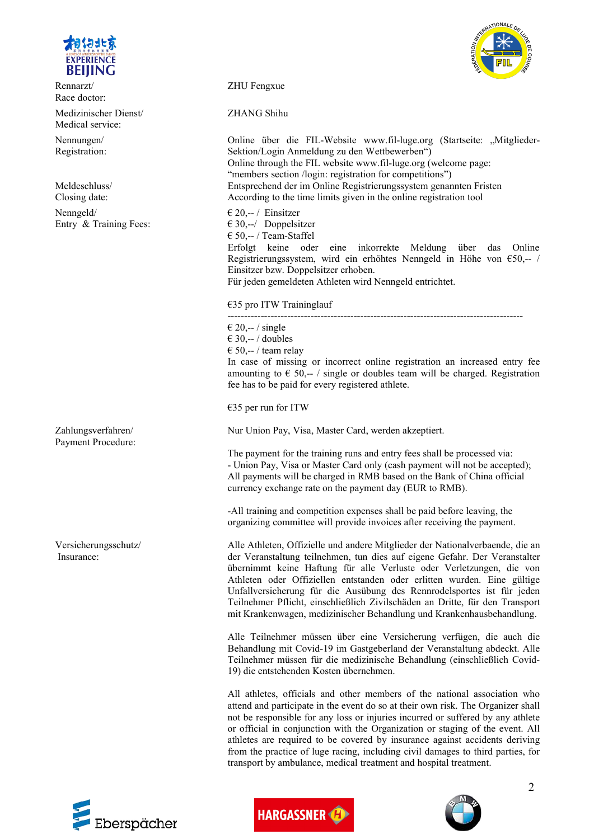

Rennarzt/ Race doctor:

Medizinischer Dienst/ Medical service:

Nennungen/ Registration:

Meldeschluss/ Closing date:

Nenngeld/ Entry & Training Fees:

Zahlungsverfahren/ Payment Procedure:

Versicherungsschutz/ Insurance:



ZHU Fengxue

ZHANG Shihu

Online über die FIL-Website www.fil-luge.org (Startseite: "Mitglieder-Sektion/Login Anmeldung zu den Wettbewerben") Online through the FIL website www.fil-luge.org (welcome page: "members section /login: registration for competitions") Entsprechend der im Online Registrierungssystem genannten Fristen According to the time limits given in the online registration tool € 20,-- / Einsitzer  $630,-/$  Doppelsitzer € 50,-- / Team-Staffel Erfolgt keine oder eine inkorrekte Meldung über das Online Registrierungssystem, wird ein erhöhtes Nenngeld in Höhe von €50,-- / Einsitzer bzw. Doppelsitzer erhoben. Für jeden gemeldeten Athleten wird Nenngeld entrichtet.

€35 pro ITW Traininglauf

-----------------------------------------------------------------------------------------  $\epsilon$  20,-- / single  $€ 30, -- / doubles$  $\epsilon$  50,-- / team relay In case of missing or incorrect online registration an increased entry fee amounting to  $\epsilon$  50,-- / single or doubles team will be charged. Registration fee has to be paid for every registered athlete.

€35 per run for ITW

Nur Union Pay, Visa, Master Card, werden akzeptiert.

The payment for the training runs and entry fees shall be processed via: - Union Pay, Visa or Master Card only (cash payment will not be accepted); All payments will be charged in RMB based on the Bank of China official currency exchange rate on the payment day (EUR to RMB).

-All training and competition expenses shall be paid before leaving, the organizing committee will provide invoices after receiving the payment.

Alle Athleten, Offizielle und andere Mitglieder der Nationalverbaende, die an der Veranstaltung teilnehmen, tun dies auf eigene Gefahr. Der Veranstalter übernimmt keine Haftung für alle Verluste oder Verletzungen, die von Athleten oder Offiziellen entstanden oder erlitten wurden. Eine gültige Unfallversicherung für die Ausübung des Rennrodelsportes ist für jeden Teilnehmer Pflicht, einschließlich Zivilschäden an Dritte, für den Transport mit Krankenwagen, medizinischer Behandlung und Krankenhausbehandlung.

Alle Teilnehmer müssen über eine Versicherung verfügen, die auch die Behandlung mit Covid-19 im Gastgeberland der Veranstaltung abdeckt. Alle Teilnehmer müssen für die medizinische Behandlung (einschließlich Covid-19) die entstehenden Kosten übernehmen.

All athletes, officials and other members of the national association who attend and participate in the event do so at their own risk. The Organizer shall not be responsible for any loss or injuries incurred or suffered by any athlete or official in conjunction with the Organization or staging of the event. All athletes are required to be covered by insurance against accidents deriving from the practice of luge racing, including civil damages to third parties, for transport by ambulance, medical treatment and hospital treatment.





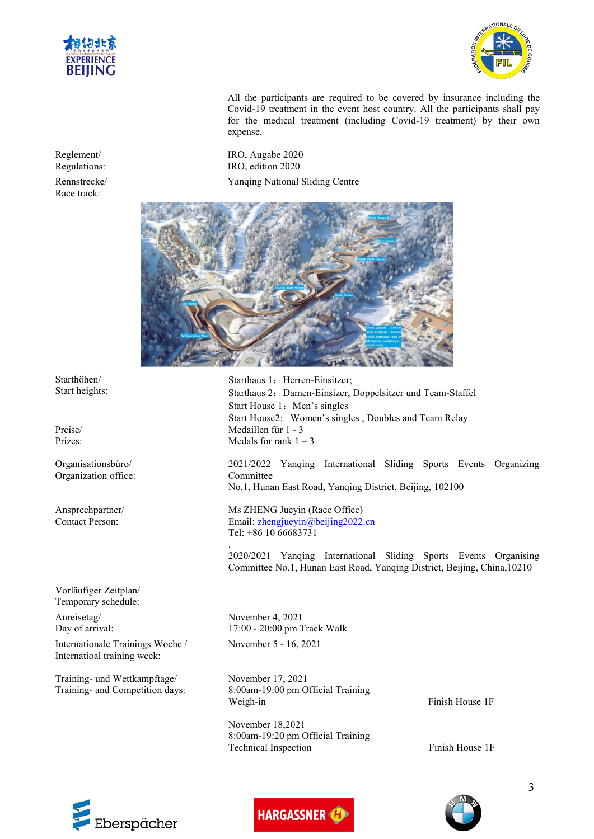



All the participants are required to be covered by insurance including the Covid-19 treatment in the event host country. All the participants shall pay for the medical treatment (including Covid-19 treatment) by their own expense.

IRO, Augabe 2020 IRO, edition 2020 Yanqing National Sliding Centre



Starthaus 1: Herren-Einsitzer: Starthaus 2: Damen-Einsizer, Doppelsitzer und Team-Staffel Start House 1: Men's singles Start House2: Women's singles , Doubles and Team Relay Medaillen für 1 - 3 Medals for rank  $1 - 3$ 

2021/2022 Yanqing International Sliding Sports Events Organizing Committee No.1, Hunan East Road, Yanging District, Beijing, 102100

Ms ZHENG Jueyin (Race Office) Email: [zhengjueyin@beijing2022.cn](mailto:zhengjueyin@beijing2022.cn) Tel: +86 10 66683731

.2020/2021 Yanqing International Sliding Sports Events Organising Committee No.1, Hunan East Road, Yanqing District, Beijing, China,10210

November 4, 2021 17:00 - 20:00 pm Track Walk November 5 - 16,2021

November 17, 2021 8:00am-19:00 pm Official Training Weigh-in Finish House 1F

November 18,2021 8:00am-19:20 pm Official Training Technical Inspection Finish House 1F



Reglement/ Regulations:

Rennstrecke/ Race track:

Starthöhen/ Start heights:

Preise/ Prizes:

Organisationsbüro/ Organization office:

Ansprechpartner/ Contact Person:

Vorläufiger Zeitplan/ Temporary schedule:

Anreisetag/ Day of arrival:

Internationale Trainings Woche / Internatioal training week:

Training- und Wettkampftage/ Training- and Competition days:



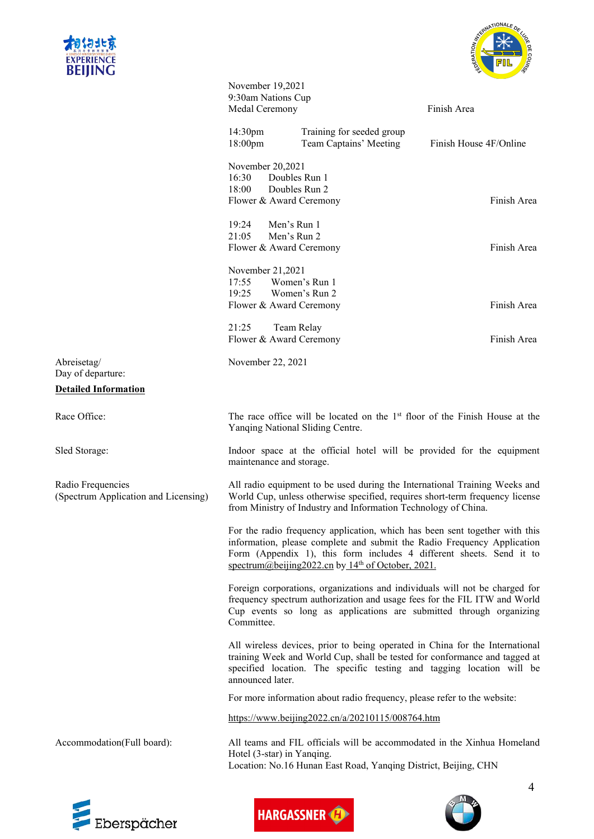



|                                                           | November 19,2021<br>9:30am Nations Cup<br>Medal Ceremony                                                                                                                                                                                                                              |                                                     | Finish Area            |  |  |  |  |
|-----------------------------------------------------------|---------------------------------------------------------------------------------------------------------------------------------------------------------------------------------------------------------------------------------------------------------------------------------------|-----------------------------------------------------|------------------------|--|--|--|--|
|                                                           | 14:30pm<br>18:00pm                                                                                                                                                                                                                                                                    | Training for seeded group<br>Team Captains' Meeting | Finish House 4F/Online |  |  |  |  |
|                                                           | November 20,2021<br>16:30<br>18:00<br>Flower & Award Ceremony                                                                                                                                                                                                                         | Doubles Run 1<br>Doubles Run 2                      | Finish Area            |  |  |  |  |
|                                                           | 19:24<br>21:05<br>Flower & Award Ceremony                                                                                                                                                                                                                                             | Men's Run 1<br>Men's Run 2                          | Finish Area            |  |  |  |  |
|                                                           | November 21,2021<br>17:55<br>19:25<br>Flower & Award Ceremony                                                                                                                                                                                                                         | Women's Run 1<br>Women's Run 2                      | Finish Area            |  |  |  |  |
|                                                           | 21:25<br>Flower & Award Ceremony                                                                                                                                                                                                                                                      | Team Relay                                          | Finish Area            |  |  |  |  |
| Abreisetag/<br>Day of departure:                          | November 22, 2021                                                                                                                                                                                                                                                                     |                                                     |                        |  |  |  |  |
| <b>Detailed Information</b>                               |                                                                                                                                                                                                                                                                                       |                                                     |                        |  |  |  |  |
| Race Office:                                              | The race office will be located on the 1 <sup>st</sup> floor of the Finish House at the<br>Yanqing National Sliding Centre.                                                                                                                                                           |                                                     |                        |  |  |  |  |
| Sled Storage:                                             | Indoor space at the official hotel will be provided for the equipment<br>maintenance and storage.                                                                                                                                                                                     |                                                     |                        |  |  |  |  |
| Radio Frequencies<br>(Spectrum Application and Licensing) | All radio equipment to be used during the International Training Weeks and<br>World Cup, unless otherwise specified, requires short-term frequency license<br>from Ministry of Industry and Information Technology of China.                                                          |                                                     |                        |  |  |  |  |
|                                                           | For the radio frequency application, which has been sent together with this<br>information, please complete and submit the Radio Frequency Application<br>Form (Appendix 1), this form includes 4 different sheets. Send it to<br>spectrum@beijing2022.cn by $14th$ of October, 2021. |                                                     |                        |  |  |  |  |
|                                                           | Foreign corporations, organizations and individuals will not be charged for<br>frequency spectrum authorization and usage fees for the FIL ITW and World<br>Cup events so long as applications are submitted through organizing<br>Committee.                                         |                                                     |                        |  |  |  |  |
|                                                           | All wireless devices, prior to being operated in China for the International<br>training Week and World Cup, shall be tested for conformance and tagged at<br>specified location. The specific testing and tagging location will be<br>announced later.                               |                                                     |                        |  |  |  |  |
|                                                           | For more information about radio frequency, please refer to the website:                                                                                                                                                                                                              |                                                     |                        |  |  |  |  |
|                                                           | https://www.beijing2022.cn/a/20210115/008764.htm                                                                                                                                                                                                                                      |                                                     |                        |  |  |  |  |
| Accommodation(Full board):                                | All teams and FIL officials will be accommodated in the Xinhua Homeland<br>Hotel (3-star) in Yanqing.<br>Location: No.16 Hunan East Road, Yanqing District, Beijing, CHN                                                                                                              |                                                     |                        |  |  |  |  |
|                                                           |                                                                                                                                                                                                                                                                                       |                                                     | 4                      |  |  |  |  |





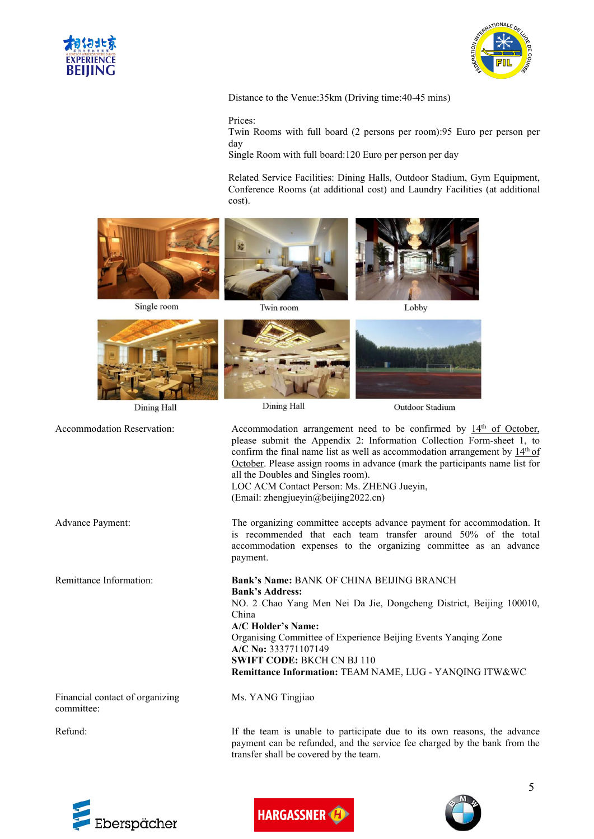



Distance to the Venue:35km (Driving time:40-45 mins)

#### Prices:

Twin Rooms with full board (2 persons per room):95 Euro per person per day

Single Room with full board:120 Euro per person per day

Related Service Facilities: Dining Halls, Outdoor Stadium, Gym Equipment, Conference Rooms (at additional cost) and Laundry Facilities (at additional cost).







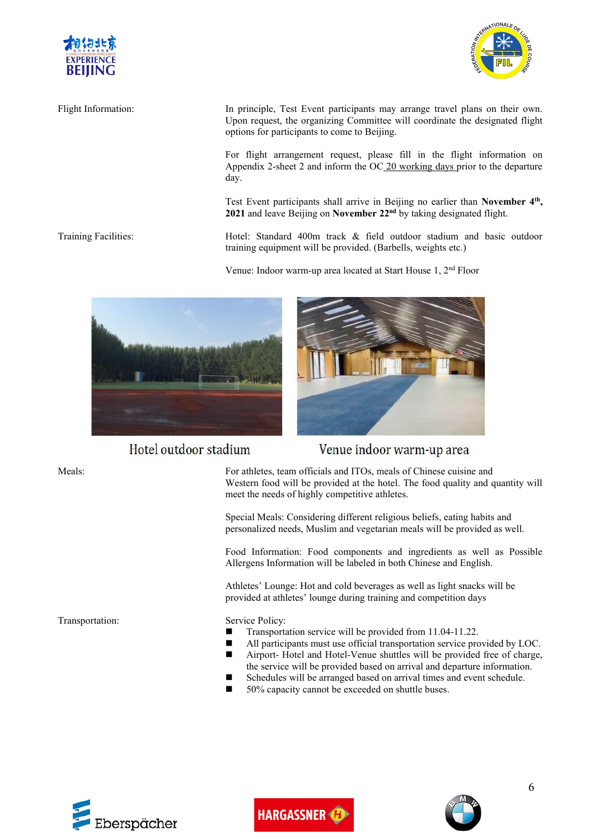



Flight Information: In principle, Test Event participants may arrange travel plans on their own. Upon request, the organizing Committee will coordinate the designated flight options for participants to come to Beijing.

> For flight arrangement request, please fill in the flight information on Appendix 2-sheet 2 and inform the  $OC_2$ 0 working days prior to the departure day.

Test Event participants shall arrive in Beijing no earlier than **November 4 th , 2021** and leave Beijing on **November 22 nd** by taking designated flight.

Training Facilities: Hotel: Standard 400m track & field outdoor stadium and basic outdoor training equipment will be provided. (Barbells, weights etc.)

Venue: Indoor warm-up area located at Start House 1, 2 nd Floor



Hotel outdoor stadium



## Venue indoor warm-up area

Meals: For athletes, team officials and ITOs, meals of Chinese cuisine and Western food will be provided at the hotel. The food quality and quantity will meet the needs of highly competitive athletes.

> Special Meals: Considering different religious beliefs, eating habits and personalized needs, Muslim and vegetarian meals will be provided as well.

Food Information: Food components and ingredients as well as Possible Allergens Information will be labeled in both Chinese and English.

Athletes' Lounge: Hot and cold beverages as well as light snacks will be provided at athletes' lounge during training and competition days

- Transportation service will be provided from 11.04-11.22.
- All participants must use official transportation service provided by LOC. Airport- Hotel and Hotel-Venue shuttles will be provided free of charge,
- the service will be provided based on arrival and departure information.
- Schedules will be arranged based on arrival times and event schedule.
- 50% capacity cannot be exceeded on shuttle buses.







Transportation: Service Policy: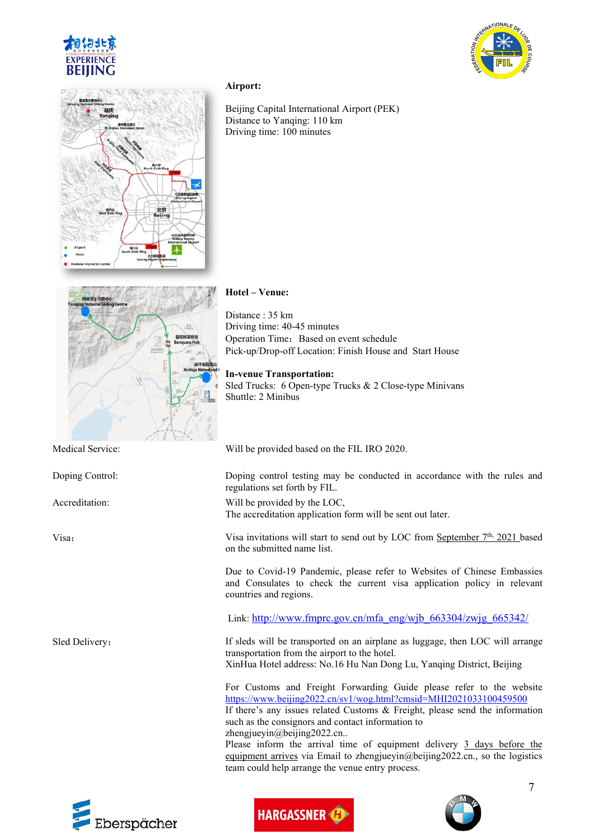





#### **Airport:**

Beijing Capital International Airport (PEK) Distance to Yanqing: 110 km Driving time: 100 minutes



### **Hotel – Venue:**

Distance : 35 km Driving time: 40-45 minutes Operation Time: Based on event schedule Pick-up/Drop-off Location: Finish House and Start House

#### **In-venue Transportation:**

Sled Trucks: 6 Open-type Trucks & 2 Close-type Minivans Shuttle: 2 Minibus

Medical Service: Will be provided based on the FIL IRO 2020.

Doping Control: Doping control testing may be conducted in accordance with the rules and







7

regulations set forth by FIL.

Accreditation: Will be provided by the LOC, The accreditation application form will be sent out later.

Visa invitations will start to send out by LOC from September 7<sup>th,</sup> 2021 based on the submitted name list.

> Due to Covid-19 Pandemic, please refer to Websites of Chinese Embassies and Consulates to check the current visa application policy in relevant countries and regions.

Link: [http://www.fmprc.gov.cn/mfa\\_eng/wjb\\_663304/zwjg\\_665342/](http://www.fmprc.gov.cn/mfa_eng/wjb_663304/zwjg_665342/)

Sled Delivery: If sleds will be transported on an airplane as luggage, then LOC will arrange transportation from the airport to the hotel. XinHua Hotel address: No.16 Hu Nan Dong Lu, Yanqing District, Beijing

> For Customs and Freight Forwarding Guide please refer to the website <https://www.beijing2022.cn/sv1/wog.html?cmsid=MHI2021033100459500>

> If there's any issues related Customs & Freight, please send the information such as the consignors and contact information to zhengjueyin@beijing2022.cn..

> Please inform the arrival time of equipment delivery 3 days before the equipment arrives via Email to zhengjueyin@beijing2022.cn., so the logistics team could help arrange the venue entry process.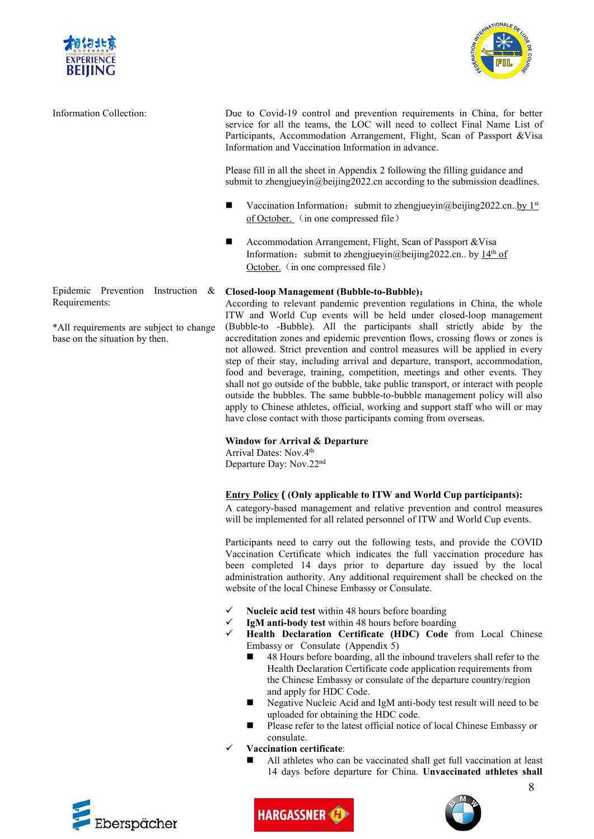



Information Collection: Due to Covid-19 control and prevention requirements in China, for better service for all the teams, the LOC will need to collect Final Name List of Participants, Accommodation Arrangement, Flight, Scan of Passport &Visa Information and Vaccination Information in advance.

> Please fill in all the sheet in Appendix 2 following the filling guidance and submit to zhengjueyin@beijing2022.cn according to the submission deadlines.

- Vaccination Information: submit to zhengjueyin@beijing2022.cn..by  $1^{st}$ of October. (in one compressed file)
- Accommodation Arrangement, Flight, Scan of Passport &Visa Information: submit to zhengjueyin@beijing2022.cn.. by 14<sup>th</sup> of October. (in one compressed file)

#### Epidemic Prevention Instruction & Closed-loop Management (Bubble-to-Bubble):

Epidemic Prevention Instruction & Closed-loop Management (Bubble-to-Bubble):<br>Requirements: According to relevant pandemic prevention regulations in China, the whole<br>TW and World Cup events will be held under closed-loop ma According to relevant pandemic prevention regulations in China, the whole ITW and World Cup events will be held under closed-loop management (Bubble-to -Bubble). All the participants shall strictly abide by the accreditation zones and epidemic prevention flows, crossing flows or zones is not allowed. Strict prevention and control measures will be applied in every step of their stay, including arrival and departure, transport, accommodation, food and beverage, training, competition, meetings and other events. They shall not go outside of the bubble, take public transport, or interact with people outside the bubbles. The same bubble-to-bubble management policy will also apply to Chinese athletes, official, working and support staff who will or may have close contact with those participants coming from overseas.

#### **Window for Arrival & Departure**

Arrival Dates: Nov.4 the contract of the contract of the contract of the contract of the contract of the contract of the contract of the contract of the contract of the contract of the contract of the contract of the contract of the contract o Departure Day: Nov.22<sup>nd</sup>

#### **Entry Policy ( (Only applicable to ITW and World Cup participants):**

A category-based management and relative prevention and control measures will be implemented for all related personnel of ITW and World Cup events.

Participants need to carry out the following tests, and provide the COVID Vaccination Certificate which indicates the full vaccination procedure has been completed 14 days prior to departure day issued by the local administration authority. Any additional requirement shall be checked on the website of the local Chinese Embassy or Consulate.

- **Nucleic acid test** within 48 hours before boarding
- **IgM anti-body test** within 48 hours before boarding
- **Health Declaration Certificate (HDC) Code** from Local Chinese Embassy or Consulate (Appendix 5)
	- 48 Hours before boarding, all the inbound travelers shall refer to the Health Declaration Certificate code application requirements from the Chinese Embassy or consulate of the departure country/region and apply for HDC Code.
	- Negative Nucleic Acid and IgM anti-body test result will need to be uploaded for obtaining the HDC code.
	- **Please refer to the latest official notice of local Chinese Embassy or** consulate.
	- **Vaccination certificate**:
		- All athletes who can be vaccinated shall get full vaccination at least 14 days before departure for China. **Unvaccinated athletes shall**







8

Requirements:

\*All requirements are subject to change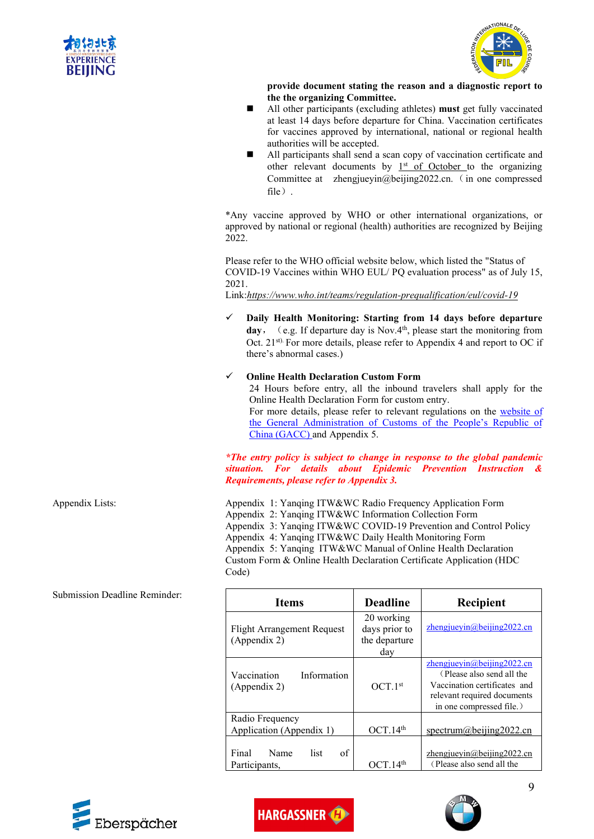



**provide document stating the reason and a diagnostic report to the the organizing Committee.**

- All other participants (excluding athletes) **must** get fully vaccinated at least 14 days before departure for China. Vaccination certificates for vaccines approved by international, national or regional health authorities will be accepted.
- All participants shall send a scan copy of vaccination certificate and other relevant documents by  $1<sup>st</sup>$  of October to the organizing Committee at zhengjueyin@beijing2022.cn. (in one compressed file).

\*Any vaccine approved by WHO or other international organizations, or approved by national or regional (health) authorities are recognized by Beijing 2022.

Please refer to the WHO official website below, which listed the "Status of COVID-19 Vaccines within WHO EUL/ PQ evaluation process" as of July 15, 2021.

Link:*https://www.who.int/teams/regulation-prequalification/eul/covid-19*

 **Daily Health Monitoring: Starting from 14 days before departure day**, (e.g. If departure day is Nov.4<sup>th</sup>, please start the monitoring from Oct. 21<sup>st).</sup> For more details, please refer to Appendix 4 and report to OC if there's abnormal cases.)

#### **Online Health Declaration Custom Form**

24 Hours before entry, all the inbound travelers shall apply for the Online Health Declaration Form for custom entry. For more details, please refer to relevant regulations on the [website](http://english.customs.gov.cn/Statics/f64ce2ac-230a-4397-8816http:/english.customs.gov.cn/Statics/f64ce2ac-230a-4397-8816-6f44356fc34f.html-6f44356fc34f.html) of the General Administration of Customs of the People's Republic of China (GACC) and Appendix 5.

*\*The entry policy is subject to change in response to the global pandemic situation. For details about Epidemic Prevention Instruction & Requirements, please refer to Appendix 3.*

Appendix Lists: Appendix 1: Yanqing ITW&WC Radio Frequency Application Form Appendix 2: Yanqing ITW&WC Information Collection Form Appendix 3: Yanqing ITW&WC COVID-19 Prevention and Control Policy Appendix 4: Yanqing ITW&WC Daily Health Monitoring Form Appendix 5: Yanqing ITW&WC Manual of Online Health Declaration Custom Form & Online Health Declaration Certificate Application (HDC Code)

| <b>Items</b>                                      | <b>Deadline</b>                                     | Recipient                                                                                                                                             |
|---------------------------------------------------|-----------------------------------------------------|-------------------------------------------------------------------------------------------------------------------------------------------------------|
| <b>Flight Arrangement Request</b><br>(Appendix 2) | 20 working<br>days prior to<br>the departure<br>day | zhengjueyin@beijing2022.cn                                                                                                                            |
| Vaccination<br>Information<br>(Appendix 2)        | OCT.1 <sup>st</sup>                                 | $z$ hengjueyin@beijing2022.cn<br>(Please also send all the<br>Vaccination certificates and<br>relevant required documents<br>in one compressed file.) |
| Radio Frequency<br>Application (Appendix 1)       | OCT.14 <sup>th</sup>                                | spectrum@beijing2022.cn                                                                                                                               |
| of<br>Final<br>list<br>Name<br>Participants,      | OCT.14 <sup>th</sup>                                | zhengjueyin@beijing2022.cn<br>(Please also send all the                                                                                               |

Submission Deadline Reminder: